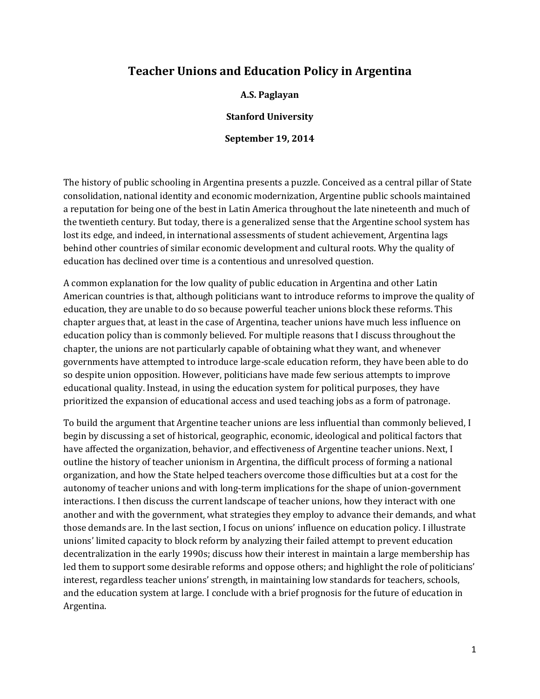# **Teacher Unions and Education Policy in Argentina**

**A.S. Paglayan**

**Stanford University**

**September 19, 2014**

The history of public schooling in Argentina presents a puzzle. Conceived as a central pillar of State consolidation, national identity and economic modernization, Argentine public schools maintained a reputation for being one of the best in Latin America throughout the late nineteenth and much of the twentieth century. But today, there is a generalized sense that the Argentine school system has lost its edge, and indeed, in international assessments of student achievement, Argentina lags behind other countries of similar economic development and cultural roots. Why the quality of education has declined over time is a contentious and unresolved question.

A common explanation for the low quality of public education in Argentina and other Latin American countries is that, although politicians want to introduce reforms to improve the quality of education, they are unable to do so because powerful teacher unions block these reforms. This chapter argues that, at least in the case of Argentina, teacher unions have much less influence on education policy than is commonly believed. For multiple reasons that I discuss throughout the chapter, the unions are not particularly capable of obtaining what they want, and whenever governments have attempted to introduce large-scale education reform, they have been able to do so despite union opposition. However, politicians have made few serious attempts to improve educational quality. Instead, in using the education system for political purposes, they have prioritized the expansion of educational access and used teaching jobs as a form of patronage.

To build the argument that Argentine teacher unions are less influential than commonly believed, I begin by discussing a set of historical, geographic, economic, ideological and political factors that have affected the organization, behavior, and effectiveness of Argentine teacher unions. Next, I outline the history of teacher unionism in Argentina, the difficult process of forming a national organization, and how the State helped teachers overcome those difficulties but at a cost for the autonomy of teacher unions and with long-term implications for the shape of union-government interactions. I then discuss the current landscape of teacher unions, how they interact with one another and with the government, what strategies they employ to advance their demands, and what those demands are. In the last section, I focus on unions' influence on education policy. I illustrate unions' limited capacity to block reform by analyzing their failed attempt to prevent education decentralization in the early 1990s; discuss how their interest in maintain a large membership has led them to support some desirable reforms and oppose others; and highlight the role of politicians' interest, regardless teacher unions' strength, in maintaining low standards for teachers, schools, and the education system at large. I conclude with a brief prognosis for the future of education in Argentina.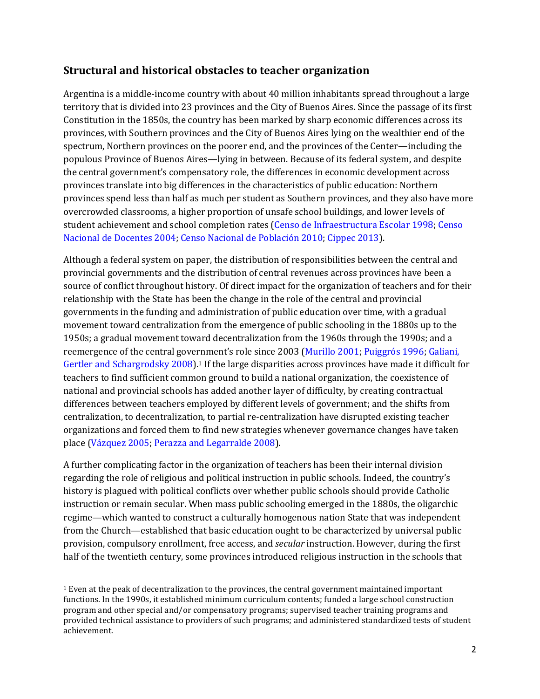## **Structural and historical obstacles to teacher organization**

Argentina is a middle-income country with about 40 million inhabitants spread throughout a large territory that is divided into 23 provinces and the City of Buenos Aires. Since the passage of its first Constitution in the 1850s, the country has been marked by sharp economic differences across its provinces, with Southern provinces and the City of Buenos Aires lying on the wealthier end of the spectrum, Northern provinces on the poorer end, and the provinces of the Center—including the populous Province of Buenos Aires—lying in between. Because of its federal system, and despite the central government's compensatory role, the differences in economic development across provinces translate into big differences in the characteristics of public education: Northern provinces spend less than half as much per student as Southern provinces, and they also have more overcrowded classrooms, a higher proportion of unsafe school buildings, and lower levels of student achievement and school completion rates (Censo de Infraestructura Escolar 1998; Censo Nacional de Docentes 2004; Censo Nacional de Población 2010; Cippec 2013).

Although a federal system on paper, the distribution of responsibilities between the central and provincial governments and the distribution of central revenues across provinces have been a source of conflict throughout history. Of direct impact for the organization of teachers and for their relationship with the State has been the change in the role of the central and provincial governments in the funding and administration of public education over time, with a gradual movement toward centralization from the emergence of public schooling in the 1880s up to the 1950s; a gradual movement toward decentralization from the 1960s through the 1990s; and a reemergence of the central government's role since 2003 (Murillo 2001; Puiggrós 1996; Galiani, Gertler and Schargrodsky 2008).<sup>1</sup> If the large disparities across provinces have made it difficult for teachers to find sufficient common ground to build a national organization, the coexistence of national and provincial schools has added another layer of difficulty, by creating contractual differences between teachers employed by different levels of government; and the shifts from centralization, to decentralization, to partial re-centralization have disrupted existing teacher organizations and forced them to find new strategies whenever governance changes have taken place (Vázquez 2005; Perazza and Legarralde 2008).

A further complicating factor in the organization of teachers has been their internal division regarding the role of religious and political instruction in public schools. Indeed, the country's history is plagued with political conflicts over whether public schools should provide Catholic instruction or remain secular. When mass public schooling emerged in the 1880s, the oligarchic regime—which wanted to construct a culturally homogenous nation State that was independent from the Church—established that basic education ought to be characterized by universal public provision, compulsory enrollment, free access, and *secular* instruction. However, during the first half of the twentieth century, some provinces introduced religious instruction in the schools that

 $\overline{a}$ 

<sup>1</sup> Even at the peak of decentralization to the provinces, the central government maintained important functions. In the 1990s, it established minimum curriculum contents; funded a large school construction program and other special and/or compensatory programs; supervised teacher training programs and provided technical assistance to providers of such programs; and administered standardized tests of student achievement.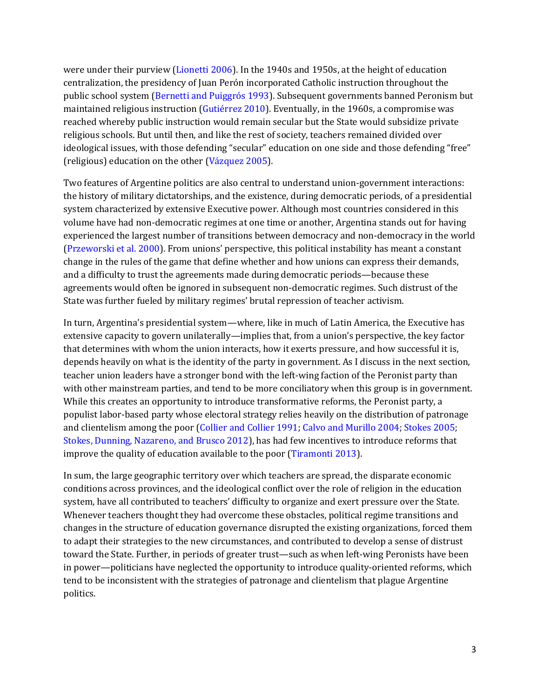were under their purview (Lionetti 2006). In the 1940s and 1950s, at the height of education centralization, the presidency of Juan Perón incorporated Catholic instruction throughout the public school system (Bernetti and Puiggrós 1993). Subsequent governments banned Peronism but maintained religious instruction (Gutiérrez 2010). Eventually, in the 1960s, a compromise was reached whereby public instruction would remain secular but the State would subsidize private religious schools. But until then, and like the rest of society, teachers remained divided over ideological issues, with those defending "secular" education on one side and those defending "free" (religious) education on the other (Vázquez 2005).

Two features of Argentine politics are also central to understand union-government interactions: the history of military dictatorships, and the existence, during democratic periods, of a presidential system characterized by extensive Executive power. Although most countries considered in this volume have had non-democratic regimes at one time or another, Argentina stands out for having experienced the largest number of transitions between democracy and non-democracy in the world (Przeworski et al. 2000). From unions' perspective, this political instability has meant a constant change in the rules of the game that define whether and how unions can express their demands, and a difficulty to trust the agreements made during democratic periods—because these agreements would often be ignored in subsequent non-democratic regimes. Such distrust of the State was further fueled by military regimes' brutal repression of teacher activism.

In turn, Argentina's presidential system—where, like in much of Latin America, the Executive has extensive capacity to govern unilaterally—implies that, from a union's perspective, the key factor that determines with whom the union interacts, how it exerts pressure, and how successful it is, depends heavily on what is the identity of the party in government. As I discuss in the next section, teacher union leaders have a stronger bond with the left-wing faction of the Peronist party than with other mainstream parties, and tend to be more conciliatory when this group is in government. While this creates an opportunity to introduce transformative reforms, the Peronist party, a populist labor-based party whose electoral strategy relies heavily on the distribution of patronage and clientelism among the poor (Collier and Collier 1991; Calvo and Murillo 2004; Stokes 2005; Stokes, Dunning, Nazareno, and Brusco 2012), has had few incentives to introduce reforms that improve the quality of education available to the poor (Tiramonti 2013).

In sum, the large geographic territory over which teachers are spread, the disparate economic conditions across provinces, and the ideological conflict over the role of religion in the education system, have all contributed to teachers' difficulty to organize and exert pressure over the State. Whenever teachers thought they had overcome these obstacles, political regime transitions and changes in the structure of education governance disrupted the existing organizations, forced them to adapt their strategies to the new circumstances, and contributed to develop a sense of distrust toward the State. Further, in periods of greater trust—such as when left-wing Peronists have been in power—politicians have neglected the opportunity to introduce quality-oriented reforms, which tend to be inconsistent with the strategies of patronage and clientelism that plague Argentine politics.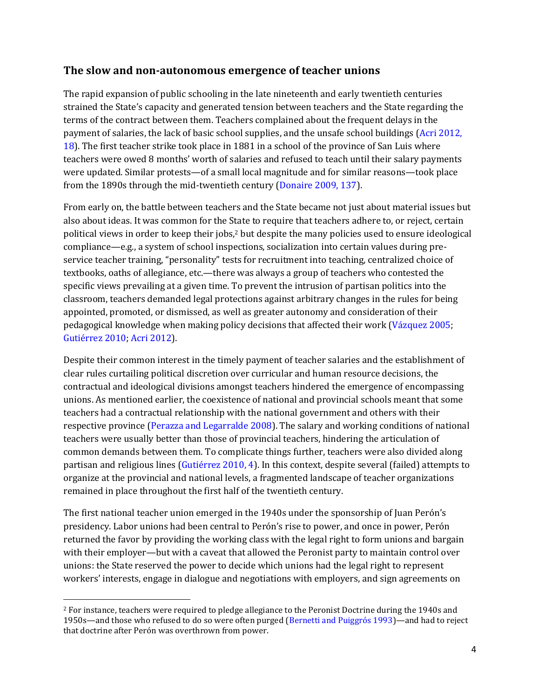### **The slow and non-autonomous emergence of teacher unions**

The rapid expansion of public schooling in the late nineteenth and early twentieth centuries strained the State's capacity and generated tension between teachers and the State regarding the terms of the contract between them. Teachers complained about the frequent delays in the payment of salaries, the lack of basic school supplies, and the unsafe school buildings (Acri 2012, 18). The first teacher strike took place in 1881 in a school of the province of San Luis where teachers were owed 8 months' worth of salaries and refused to teach until their salary payments were updated. Similar protests—of a small local magnitude and for similar reasons—took place from the 1890s through the mid-twentieth century (Donaire 2009, 137).

From early on, the battle between teachers and the State became not just about material issues but also about ideas. It was common for the State to require that teachers adhere to, or reject, certain political views in order to keep their jobs,<sup>2</sup> but despite the many policies used to ensure ideological compliance—e.g., a system of school inspections, socialization into certain values during preservice teacher training, "personality" tests for recruitment into teaching, centralized choice of textbooks, oaths of allegiance, etc.—there was always a group of teachers who contested the specific views prevailing at a given time. To prevent the intrusion of partisan politics into the classroom, teachers demanded legal protections against arbitrary changes in the rules for being appointed, promoted, or dismissed, as well as greater autonomy and consideration of their pedagogical knowledge when making policy decisions that affected their work (Vázquez 2005; Gutiérrez 2010; Acri 2012).

Despite their common interest in the timely payment of teacher salaries and the establishment of clear rules curtailing political discretion over curricular and human resource decisions, the contractual and ideological divisions amongst teachers hindered the emergence of encompassing unions. As mentioned earlier, the coexistence of national and provincial schools meant that some teachers had a contractual relationship with the national government and others with their respective province (Perazza and Legarralde 2008). The salary and working conditions of national teachers were usually better than those of provincial teachers, hindering the articulation of common demands between them. To complicate things further, teachers were also divided along partisan and religious lines (Gutiérrez 2010, 4). In this context, despite several (failed) attempts to organize at the provincial and national levels, a fragmented landscape of teacher organizations remained in place throughout the first half of the twentieth century.

The first national teacher union emerged in the 1940s under the sponsorship of Juan Perón's presidency. Labor unions had been central to Perón's rise to power, and once in power, Perón returned the favor by providing the working class with the legal right to form unions and bargain with their employer—but with a caveat that allowed the Peronist party to maintain control over unions: the State reserved the power to decide which unions had the legal right to represent workers' interests, engage in dialogue and negotiations with employers, and sign agreements on

<sup>&</sup>lt;sup>2</sup> For instance, teachers were required to pledge allegiance to the Peronist Doctrine during the 1940s and 1950s—and those who refused to do so were often purged (Bernetti and Puiggrós 1993)—and had to reject that doctrine after Perón was overthrown from power.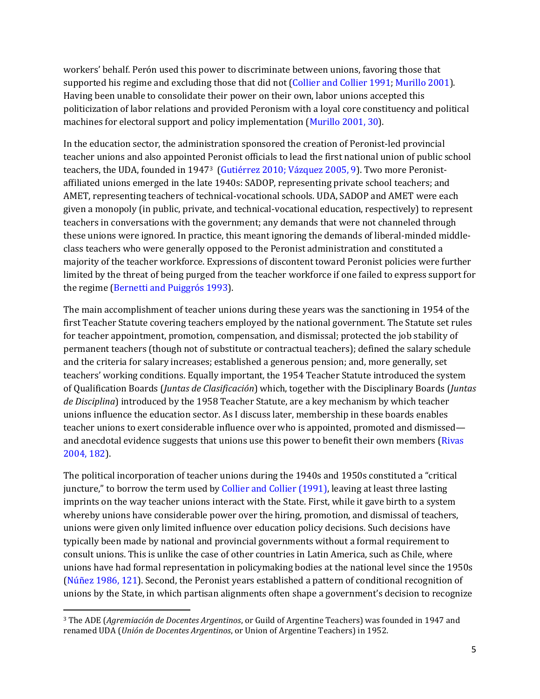workers' behalf. Perón used this power to discriminate between unions, favoring those that supported his regime and excluding those that did not (Collier and Collier 1991; Murillo 2001). Having been unable to consolidate their power on their own, labor unions accepted this politicization of labor relations and provided Peronism with a loyal core constituency and political machines for electoral support and policy implementation (Murillo 2001, 30).

In the education sector, the administration sponsored the creation of Peronist-led provincial teacher unions and also appointed Peronist officials to lead the first national union of public school teachers, the UDA, founded in 19473 (Gutiérrez 2010; Vázquez 2005, 9). Two more Peronistaffiliated unions emerged in the late 1940s: SADOP, representing private school teachers; and AMET, representing teachers of technical-vocational schools. UDA, SADOP and AMET were each given a monopoly (in public, private, and technical-vocational education, respectively) to represent teachers in conversations with the government; any demands that were not channeled through these unions were ignored. In practice, this meant ignoring the demands of liberal-minded middleclass teachers who were generally opposed to the Peronist administration and constituted a majority of the teacher workforce. Expressions of discontent toward Peronist policies were further limited by the threat of being purged from the teacher workforce if one failed to express support for the regime (Bernetti and Puiggrós 1993).

The main accomplishment of teacher unions during these years was the sanctioning in 1954 of the first Teacher Statute covering teachers employed by the national government. The Statute set rules for teacher appointment, promotion, compensation, and dismissal; protected the job stability of permanent teachers (though not of substitute or contractual teachers); defined the salary schedule and the criteria for salary increases; established a generous pension; and, more generally, set teachers' working conditions. Equally important, the 1954 Teacher Statute introduced the system of Qualification Boards (*Juntas de Clasificación*) which, together with the Disciplinary Boards (*Juntas de Disciplina*) introduced by the 1958 Teacher Statute, are a key mechanism by which teacher unions influence the education sector. As I discuss later, membership in these boards enables teacher unions to exert considerable influence over who is appointed, promoted and dismissed and anecdotal evidence suggests that unions use this power to benefit their own members (Rivas 2004, 182).

The political incorporation of teacher unions during the 1940s and 1950s constituted a "critical juncture," to borrow the term used by Collier and Collier (1991), leaving at least three lasting imprints on the way teacher unions interact with the State. First, while it gave birth to a system whereby unions have considerable power over the hiring, promotion, and dismissal of teachers, unions were given only limited influence over education policy decisions. Such decisions have typically been made by national and provincial governments without a formal requirement to consult unions. This is unlike the case of other countries in Latin America, such as Chile, where unions have had formal representation in policymaking bodies at the national level since the 1950s (Núñez 1986, 121). Second, the Peronist years established a pattern of conditional recognition of unions by the State, in which partisan alignments often shape a government's decision to recognize

<sup>3</sup> The ADE (*Agremiación de Docentes Argentinos*, or Guild of Argentine Teachers) was founded in 1947 and renamed UDA (*Unión de Docentes Argentinos*, or Union of Argentine Teachers) in 1952.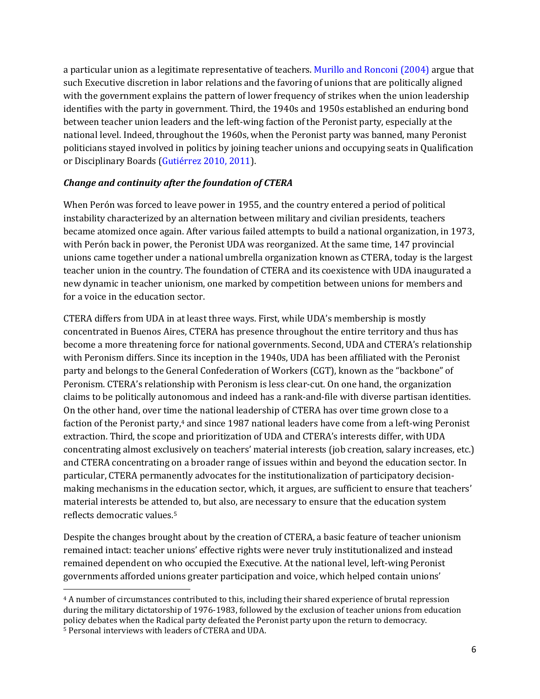a particular union as a legitimate representative of teachers. Murillo and Ronconi (2004) argue that such Executive discretion in labor relations and the favoring of unions that are politically aligned with the government explains the pattern of lower frequency of strikes when the union leadership identifies with the party in government. Third, the 1940s and 1950s established an enduring bond between teacher union leaders and the left-wing faction of the Peronist party, especially at the national level. Indeed, throughout the 1960s, when the Peronist party was banned, many Peronist politicians stayed involved in politics by joining teacher unions and occupying seats in Qualification or Disciplinary Boards (Gutiérrez 2010, 2011).

#### *Change and continuity after the foundation of CTERA*

 $\overline{a}$ 

When Perón was forced to leave power in 1955, and the country entered a period of political instability characterized by an alternation between military and civilian presidents, teachers became atomized once again. After various failed attempts to build a national organization, in 1973, with Perón back in power, the Peronist UDA was reorganized. At the same time, 147 provincial unions came together under a national umbrella organization known as CTERA, today is the largest teacher union in the country. The foundation of CTERA and its coexistence with UDA inaugurated a new dynamic in teacher unionism, one marked by competition between unions for members and for a voice in the education sector.

CTERA differs from UDA in at least three ways. First, while UDA's membership is mostly concentrated in Buenos Aires, CTERA has presence throughout the entire territory and thus has become a more threatening force for national governments. Second, UDA and CTERA's relationship with Peronism differs. Since its inception in the 1940s, UDA has been affiliated with the Peronist party and belongs to the General Confederation of Workers (CGT), known as the "backbone" of Peronism. CTERA's relationship with Peronism is less clear-cut. On one hand, the organization claims to be politically autonomous and indeed has a rank-and-file with diverse partisan identities. On the other hand, over time the national leadership of CTERA has over time grown close to a faction of the Peronist party,<sup>4</sup> and since 1987 national leaders have come from a left-wing Peronist extraction. Third, the scope and prioritization of UDA and CTERA's interests differ, with UDA concentrating almost exclusively on teachers' material interests (job creation, salary increases, etc.) and CTERA concentrating on a broader range of issues within and beyond the education sector. In particular, CTERA permanently advocates for the institutionalization of participatory decisionmaking mechanisms in the education sector, which, it argues, are sufficient to ensure that teachers' material interests be attended to, but also, are necessary to ensure that the education system reflects democratic values.<sup>5</sup>

Despite the changes brought about by the creation of CTERA, a basic feature of teacher unionism remained intact: teacher unions' effective rights were never truly institutionalized and instead remained dependent on who occupied the Executive. At the national level, left-wing Peronist governments afforded unions greater participation and voice, which helped contain unions'

<sup>4</sup> A number of circumstances contributed to this, including their shared experience of brutal repression during the military dictatorship of 1976-1983, followed by the exclusion of teacher unions from education policy debates when the Radical party defeated the Peronist party upon the return to democracy. <sup>5</sup> Personal interviews with leaders of CTERA and UDA.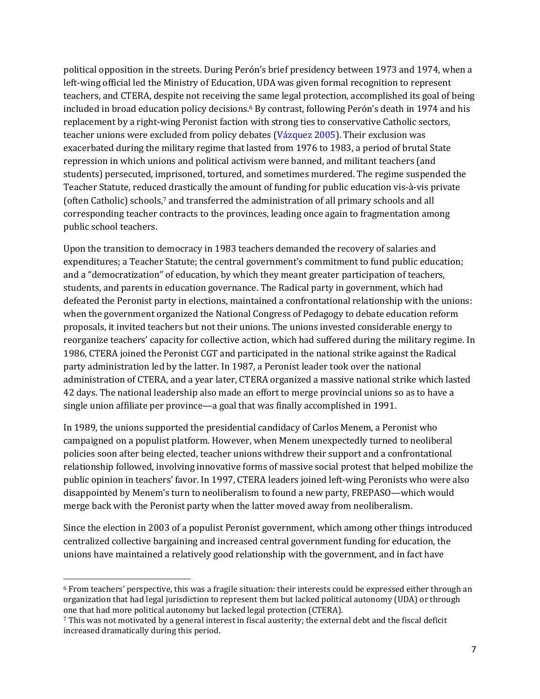political opposition in the streets. During Perón's brief presidency between 1973 and 1974, when a left-wing official led the Ministry of Education, UDA was given formal recognition to represent teachers, and CTERA, despite not receiving the same legal protection, accomplished its goal of being included in broad education policy decisions. <sup>6</sup> By contrast, following Perón's death in 1974 and his replacement by a right-wing Peronist faction with strong ties to conservative Catholic sectors, teacher unions were excluded from policy debates (Vázquez 2005). Their exclusion was exacerbated during the military regime that lasted from 1976 to 1983, a period of brutal State repression in which unions and political activism were banned, and militant teachers (and students) persecuted, imprisoned, tortured, and sometimes murdered. The regime suspended the Teacher Statute, reduced drastically the amount of funding for public education vis-à-vis private (often Catholic) schools,<sup>7</sup> and transferred the administration of all primary schools and all corresponding teacher contracts to the provinces, leading once again to fragmentation among public school teachers.

Upon the transition to democracy in 1983 teachers demanded the recovery of salaries and expenditures; a Teacher Statute; the central government's commitment to fund public education; and a "democratization" of education, by which they meant greater participation of teachers, students, and parents in education governance. The Radical party in government, which had defeated the Peronist party in elections, maintained a confrontational relationship with the unions: when the government organized the National Congress of Pedagogy to debate education reform proposals, it invited teachers but not their unions. The unions invested considerable energy to reorganize teachers' capacity for collective action, which had suffered during the military regime. In 1986, CTERA joined the Peronist CGT and participated in the national strike against the Radical party administration led by the latter. In 1987, a Peronist leader took over the national administration of CTERA, and a year later, CTERA organized a massive national strike which lasted 42 days. The national leadership also made an effort to merge provincial unions so as to have a single union affiliate per province—a goal that was finally accomplished in 1991.

In 1989, the unions supported the presidential candidacy of Carlos Menem, a Peronist who campaigned on a populist platform. However, when Menem unexpectedly turned to neoliberal policies soon after being elected, teacher unions withdrew their support and a confrontational relationship followed, involving innovative forms of massive social protest that helped mobilize the public opinion in teachers' favor. In 1997, CTERA leaders joined left-wing Peronists who were also disappointed by Menem's turn to neoliberalism to found a new party, FREPASO—which would merge back with the Peronist party when the latter moved away from neoliberalism.

Since the election in 2003 of a populist Peronist government, which among other things introduced centralized collective bargaining and increased central government funding for education, the unions have maintained a relatively good relationship with the government, and in fact have

 $\overline{a}$ 

<sup>6</sup> From teachers' perspective, this was a fragile situation: their interests could be expressed either through an organization that had legal jurisdiction to represent them but lacked political autonomy (UDA) or through one that had more political autonomy but lacked legal protection (CTERA).

<sup>7</sup> This was not motivated by a general interest in fiscal austerity; the external debt and the fiscal deficit increased dramatically during this period.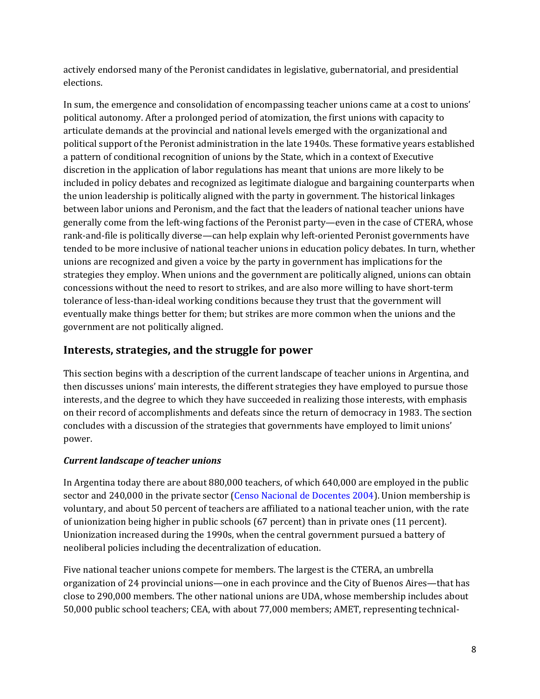actively endorsed many of the Peronist candidates in legislative, gubernatorial, and presidential elections.

In sum, the emergence and consolidation of encompassing teacher unions came at a cost to unions' political autonomy. After a prolonged period of atomization, the first unions with capacity to articulate demands at the provincial and national levels emerged with the organizational and political support of the Peronist administration in the late 1940s. These formative years established a pattern of conditional recognition of unions by the State, which in a context of Executive discretion in the application of labor regulations has meant that unions are more likely to be included in policy debates and recognized as legitimate dialogue and bargaining counterparts when the union leadership is politically aligned with the party in government. The historical linkages between labor unions and Peronism, and the fact that the leaders of national teacher unions have generally come from the left-wing factions of the Peronist party—even in the case of CTERA, whose rank-and-file is politically diverse—can help explain why left-oriented Peronist governments have tended to be more inclusive of national teacher unions in education policy debates. In turn, whether unions are recognized and given a voice by the party in government has implications for the strategies they employ. When unions and the government are politically aligned, unions can obtain concessions without the need to resort to strikes, and are also more willing to have short-term tolerance of less-than-ideal working conditions because they trust that the government will eventually make things better for them; but strikes are more common when the unions and the government are not politically aligned.

## **Interests, strategies, and the struggle for power**

This section begins with a description of the current landscape of teacher unions in Argentina, and then discusses unions' main interests, the different strategies they have employed to pursue those interests, and the degree to which they have succeeded in realizing those interests, with emphasis on their record of accomplishments and defeats since the return of democracy in 1983. The section concludes with a discussion of the strategies that governments have employed to limit unions' power.

## *Current landscape of teacher unions*

In Argentina today there are about 880,000 teachers, of which 640,000 are employed in the public sector and 240,000 in the private sector (Censo Nacional de Docentes 2004). Union membership is voluntary, and about 50 percent of teachers are affiliated to a national teacher union, with the rate of unionization being higher in public schools (67 percent) than in private ones (11 percent). Unionization increased during the 1990s, when the central government pursued a battery of neoliberal policies including the decentralization of education.

Five national teacher unions compete for members. The largest is the CTERA, an umbrella organization of 24 provincial unions—one in each province and the City of Buenos Aires—that has close to 290,000 members. The other national unions are UDA, whose membership includes about 50,000 public school teachers; CEA, with about 77,000 members; AMET, representing technical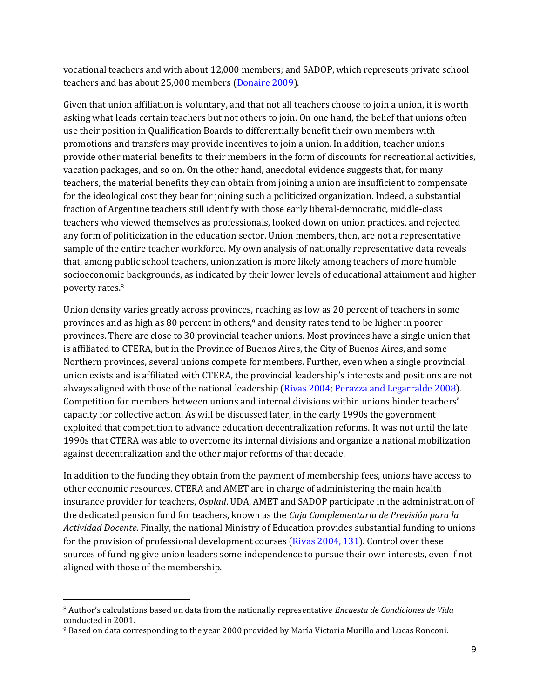vocational teachers and with about 12,000 members; and SADOP, which represents private school teachers and has about 25,000 members (Donaire 2009).

Given that union affiliation is voluntary, and that not all teachers choose to join a union, it is worth asking what leads certain teachers but not others to join. On one hand, the belief that unions often use their position in Qualification Boards to differentially benefit their own members with promotions and transfers may provide incentives to join a union. In addition, teacher unions provide other material benefits to their members in the form of discounts for recreational activities, vacation packages, and so on. On the other hand, anecdotal evidence suggests that, for many teachers, the material benefits they can obtain from joining a union are insufficient to compensate for the ideological cost they bear for joining such a politicized organization. Indeed, a substantial fraction of Argentine teachers still identify with those early liberal-democratic, middle-class teachers who viewed themselves as professionals, looked down on union practices, and rejected any form of politicization in the education sector. Union members, then, are not a representative sample of the entire teacher workforce. My own analysis of nationally representative data reveals that, among public school teachers, unionization is more likely among teachers of more humble socioeconomic backgrounds, as indicated by their lower levels of educational attainment and higher poverty rates.<sup>8</sup>

Union density varies greatly across provinces, reaching as low as 20 percent of teachers in some provinces and as high as 80 percent in others, <sup>9</sup> and density rates tend to be higher in poorer provinces. There are close to 30 provincial teacher unions. Most provinces have a single union that is affiliated to CTERA, but in the Province of Buenos Aires, the City of Buenos Aires, and some Northern provinces, several unions compete for members. Further, even when a single provincial union exists and is affiliated with CTERA, the provincial leadership's interests and positions are not always aligned with those of the national leadership (Rivas 2004; Perazza and Legarralde 2008). Competition for members between unions and internal divisions within unions hinder teachers' capacity for collective action. As will be discussed later, in the early 1990s the government exploited that competition to advance education decentralization reforms. It was not until the late 1990s that CTERA was able to overcome its internal divisions and organize a national mobilization against decentralization and the other major reforms of that decade.

In addition to the funding they obtain from the payment of membership fees, unions have access to other economic resources. CTERA and AMET are in charge of administering the main health insurance provider for teachers, *Osplad*. UDA, AMET and SADOP participate in the administration of the dedicated pension fund for teachers, known as the *Caja Complementaria de Previsión para la Actividad Docente*. Finally, the national Ministry of Education provides substantial funding to unions for the provision of professional development courses (Rivas 2004, 131). Control over these sources of funding give union leaders some independence to pursue their own interests, even if not aligned with those of the membership.

<sup>8</sup> Author's calculations based on data from the nationally representative *Encuesta de Condiciones de Vida* conducted in 2001.

<sup>9</sup> Based on data corresponding to the year 2000 provided by María Victoria Murillo and Lucas Ronconi.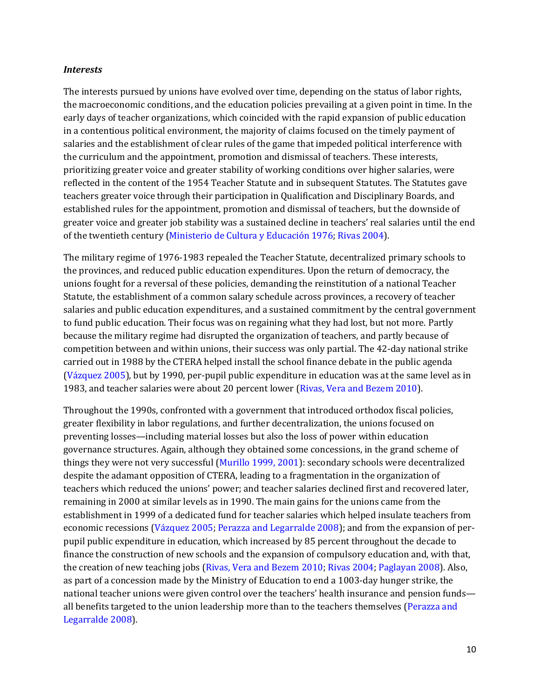#### *Interests*

The interests pursued by unions have evolved over time, depending on the status of labor rights, the macroeconomic conditions, and the education policies prevailing at a given point in time. In the early days of teacher organizations, which coincided with the rapid expansion of public education in a contentious political environment, the majority of claims focused on the timely payment of salaries and the establishment of clear rules of the game that impeded political interference with the curriculum and the appointment, promotion and dismissal of teachers. These interests, prioritizing greater voice and greater stability of working conditions over higher salaries, were reflected in the content of the 1954 Teacher Statute and in subsequent Statutes. The Statutes gave teachers greater voice through their participation in Qualification and Disciplinary Boards, and established rules for the appointment, promotion and dismissal of teachers, but the downside of greater voice and greater job stability was a sustained decline in teachers' real salaries until the end of the twentieth century (Ministerio de Cultura y Educación 1976; Rivas 2004).

The military regime of 1976-1983 repealed the Teacher Statute, decentralized primary schools to the provinces, and reduced public education expenditures. Upon the return of democracy, the unions fought for a reversal of these policies, demanding the reinstitution of a national Teacher Statute, the establishment of a common salary schedule across provinces, a recovery of teacher salaries and public education expenditures, and a sustained commitment by the central government to fund public education. Their focus was on regaining what they had lost, but not more. Partly because the military regime had disrupted the organization of teachers, and partly because of competition between and within unions, their success was only partial. The 42-day national strike carried out in 1988 by the CTERA helped install the school finance debate in the public agenda (Vázquez 2005), but by 1990, per-pupil public expenditure in education was at the same level as in 1983, and teacher salaries were about 20 percent lower (Rivas, Vera and Bezem 2010).

Throughout the 1990s, confronted with a government that introduced orthodox fiscal policies, greater flexibility in labor regulations, and further decentralization, the unions focused on preventing losses—including material losses but also the loss of power within education governance structures. Again, although they obtained some concessions, in the grand scheme of things they were not very successful (Murillo 1999, 2001): secondary schools were decentralized despite the adamant opposition of CTERA, leading to a fragmentation in the organization of teachers which reduced the unions' power; and teacher salaries declined first and recovered later, remaining in 2000 at similar levels as in 1990. The main gains for the unions came from the establishment in 1999 of a dedicated fund for teacher salaries which helped insulate teachers from economic recessions (Vázquez 2005; Perazza and Legarralde 2008); and from the expansion of perpupil public expenditure in education, which increased by 85 percent throughout the decade to finance the construction of new schools and the expansion of compulsory education and, with that, the creation of new teaching jobs (Rivas, Vera and Bezem 2010; Rivas 2004; Paglayan 2008). Also, as part of a concession made by the Ministry of Education to end a 1003-day hunger strike, the national teacher unions were given control over the teachers' health insurance and pension funds all benefits targeted to the union leadership more than to the teachers themselves (Perazza and Legarralde 2008).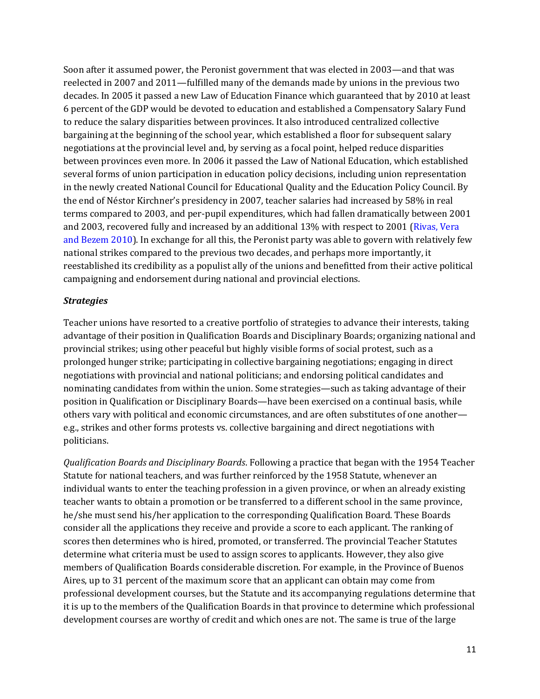Soon after it assumed power, the Peronist government that was elected in 2003—and that was reelected in 2007 and 2011—fulfilled many of the demands made by unions in the previous two decades. In 2005 it passed a new Law of Education Finance which guaranteed that by 2010 at least 6 percent of the GDP would be devoted to education and established a Compensatory Salary Fund to reduce the salary disparities between provinces. It also introduced centralized collective bargaining at the beginning of the school year, which established a floor for subsequent salary negotiations at the provincial level and, by serving as a focal point, helped reduce disparities between provinces even more. In 2006 it passed the Law of National Education, which established several forms of union participation in education policy decisions, including union representation in the newly created National Council for Educational Quality and the Education Policy Council. By the end of Néstor Kirchner's presidency in 2007, teacher salaries had increased by 58% in real terms compared to 2003, and per-pupil expenditures, which had fallen dramatically between 2001 and 2003, recovered fully and increased by an additional 13% with respect to 2001 (Rivas, Vera and Bezem 2010). In exchange for all this, the Peronist party was able to govern with relatively few national strikes compared to the previous two decades, and perhaps more importantly, it reestablished its credibility as a populist ally of the unions and benefitted from their active political campaigning and endorsement during national and provincial elections.

#### *Strategies*

Teacher unions have resorted to a creative portfolio of strategies to advance their interests, taking advantage of their position in Qualification Boards and Disciplinary Boards; organizing national and provincial strikes; using other peaceful but highly visible forms of social protest, such as a prolonged hunger strike; participating in collective bargaining negotiations; engaging in direct negotiations with provincial and national politicians; and endorsing political candidates and nominating candidates from within the union. Some strategies—such as taking advantage of their position in Qualification or Disciplinary Boards—have been exercised on a continual basis, while others vary with political and economic circumstances, and are often substitutes of one another e.g., strikes and other forms protests vs. collective bargaining and direct negotiations with politicians.

*Qualification Boards and Disciplinary Boards*. Following a practice that began with the 1954 Teacher Statute for national teachers, and was further reinforced by the 1958 Statute, whenever an individual wants to enter the teaching profession in a given province, or when an already existing teacher wants to obtain a promotion or be transferred to a different school in the same province, he/she must send his/her application to the corresponding Qualification Board. These Boards consider all the applications they receive and provide a score to each applicant. The ranking of scores then determines who is hired, promoted, or transferred. The provincial Teacher Statutes determine what criteria must be used to assign scores to applicants. However, they also give members of Qualification Boards considerable discretion. For example, in the Province of Buenos Aires, up to 31 percent of the maximum score that an applicant can obtain may come from professional development courses, but the Statute and its accompanying regulations determine that it is up to the members of the Qualification Boards in that province to determine which professional development courses are worthy of credit and which ones are not. The same is true of the large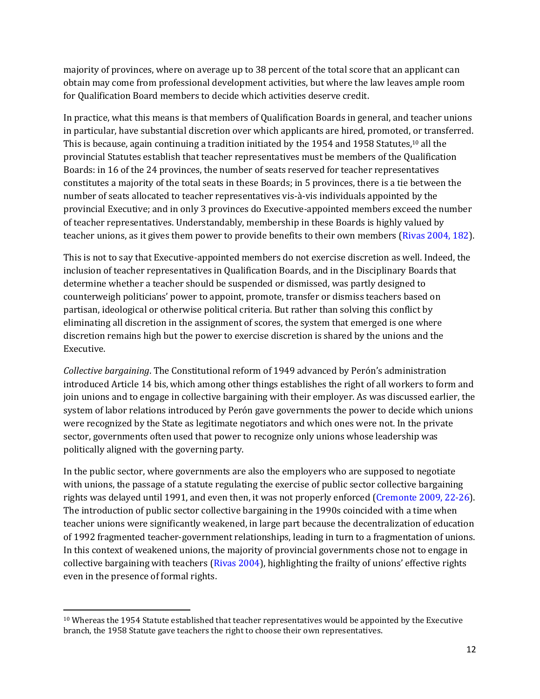majority of provinces, where on average up to 38 percent of the total score that an applicant can obtain may come from professional development activities, but where the law leaves ample room for Qualification Board members to decide which activities deserve credit.

In practice, what this means is that members of Qualification Boards in general, and teacher unions in particular, have substantial discretion over which applicants are hired, promoted, or transferred. This is because, again continuing a tradition initiated by the 1954 and 1958 Statutes,<sup>10</sup> all the provincial Statutes establish that teacher representatives must be members of the Qualification Boards: in 16 of the 24 provinces, the number of seats reserved for teacher representatives constitutes a majority of the total seats in these Boards; in 5 provinces, there is a tie between the number of seats allocated to teacher representatives vis-à-vis individuals appointed by the provincial Executive; and in only 3 provinces do Executive-appointed members exceed the number of teacher representatives. Understandably, membership in these Boards is highly valued by teacher unions, as it gives them power to provide benefits to their own members (Rivas 2004, 182).

This is not to say that Executive-appointed members do not exercise discretion as well. Indeed, the inclusion of teacher representatives in Qualification Boards, and in the Disciplinary Boards that determine whether a teacher should be suspended or dismissed, was partly designed to counterweigh politicians' power to appoint, promote, transfer or dismiss teachers based on partisan, ideological or otherwise political criteria. But rather than solving this conflict by eliminating all discretion in the assignment of scores, the system that emerged is one where discretion remains high but the power to exercise discretion is shared by the unions and the Executive.

*Collective bargaining*. The Constitutional reform of 1949 advanced by Perón's administration introduced Article 14 bis, which among other things establishes the right of all workers to form and join unions and to engage in collective bargaining with their employer. As was discussed earlier, the system of labor relations introduced by Perón gave governments the power to decide which unions were recognized by the State as legitimate negotiators and which ones were not. In the private sector, governments often used that power to recognize only unions whose leadership was politically aligned with the governing party.

In the public sector, where governments are also the employers who are supposed to negotiate with unions, the passage of a statute regulating the exercise of public sector collective bargaining rights was delayed until 1991, and even then, it was not properly enforced (Cremonte 2009, 22-26). The introduction of public sector collective bargaining in the 1990s coincided with a time when teacher unions were significantly weakened, in large part because the decentralization of education of 1992 fragmented teacher-government relationships, leading in turn to a fragmentation of unions. In this context of weakened unions, the majority of provincial governments chose not to engage in collective bargaining with teachers (Rivas 2004), highlighting the frailty of unions' effective rights even in the presence of formal rights.

<sup>&</sup>lt;sup>10</sup> Whereas the 1954 Statute established that teacher representatives would be appointed by the Executive branch, the 1958 Statute gave teachers the right to choose their own representatives.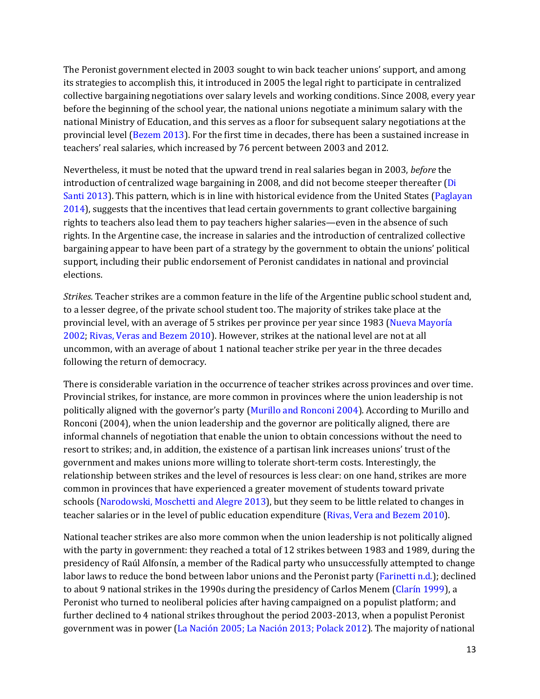The Peronist government elected in 2003 sought to win back teacher unions' support, and among its strategies to accomplish this, it introduced in 2005 the legal right to participate in centralized collective bargaining negotiations over salary levels and working conditions. Since 2008, every year before the beginning of the school year, the national unions negotiate a minimum salary with the national Ministry of Education, and this serves as a floor for subsequent salary negotiations at the provincial level (Bezem 2013). For the first time in decades, there has been a sustained increase in teachers' real salaries, which increased by 76 percent between 2003 and 2012.

Nevertheless, it must be noted that the upward trend in real salaries began in 2003, *before* the introduction of centralized wage bargaining in 2008, and did not become steeper thereafter (Di Santi 2013). This pattern, which is in line with historical evidence from the United States (Paglayan 2014), suggests that the incentives that lead certain governments to grant collective bargaining rights to teachers also lead them to pay teachers higher salaries—even in the absence of such rights. In the Argentine case, the increase in salaries and the introduction of centralized collective bargaining appear to have been part of a strategy by the government to obtain the unions' political support, including their public endorsement of Peronist candidates in national and provincial elections.

*Strikes*. Teacher strikes are a common feature in the life of the Argentine public school student and, to a lesser degree, of the private school student too. The majority of strikes take place at the provincial level, with an average of 5 strikes per province per year since 1983 (Nueva Mayoría 2002; Rivas, Veras and Bezem 2010). However, strikes at the national level are not at all uncommon, with an average of about 1 national teacher strike per year in the three decades following the return of democracy.

There is considerable variation in the occurrence of teacher strikes across provinces and over time. Provincial strikes, for instance, are more common in provinces where the union leadership is not politically aligned with the governor's party (Murillo and Ronconi 2004). According to Murillo and Ronconi (2004), when the union leadership and the governor are politically aligned, there are informal channels of negotiation that enable the union to obtain concessions without the need to resort to strikes; and, in addition, the existence of a partisan link increases unions' trust of the government and makes unions more willing to tolerate short-term costs. Interestingly, the relationship between strikes and the level of resources is less clear: on one hand, strikes are more common in provinces that have experienced a greater movement of students toward private schools (Narodowski, Moschetti and Alegre 2013), but they seem to be little related to changes in teacher salaries or in the level of public education expenditure (Rivas, Vera and Bezem 2010).

National teacher strikes are also more common when the union leadership is not politically aligned with the party in government: they reached a total of 12 strikes between 1983 and 1989, during the presidency of Raúl Alfonsín, a member of the Radical party who unsuccessfully attempted to change labor laws to reduce the bond between labor unions and the Peronist party (Farinetti n.d.); declined to about 9 national strikes in the 1990s during the presidency of Carlos Menem (Clarín 1999), a Peronist who turned to neoliberal policies after having campaigned on a populist platform; and further declined to 4 national strikes throughout the period 2003-2013, when a populist Peronist government was in power (La Nación 2005; La Nación 2013; Polack 2012). The majority of national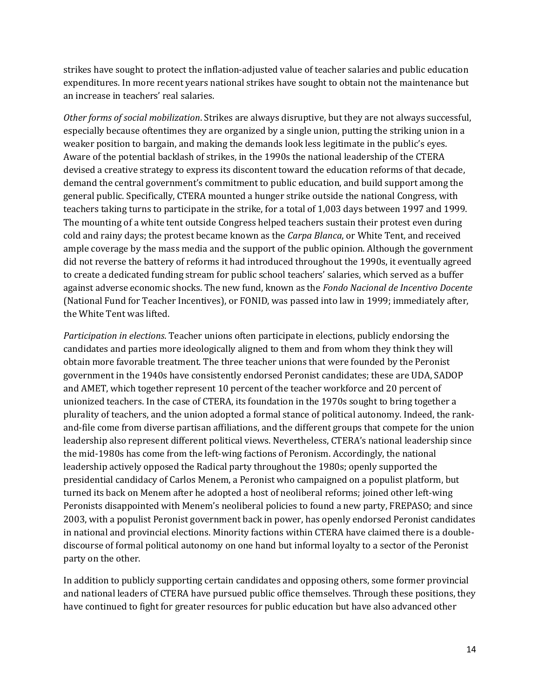strikes have sought to protect the inflation-adjusted value of teacher salaries and public education expenditures. In more recent years national strikes have sought to obtain not the maintenance but an increase in teachers' real salaries.

*Other forms of social mobilization*. Strikes are always disruptive, but they are not always successful, especially because oftentimes they are organized by a single union, putting the striking union in a weaker position to bargain, and making the demands look less legitimate in the public's eyes. Aware of the potential backlash of strikes, in the 1990s the national leadership of the CTERA devised a creative strategy to express its discontent toward the education reforms of that decade, demand the central government's commitment to public education, and build support among the general public. Specifically, CTERA mounted a hunger strike outside the national Congress, with teachers taking turns to participate in the strike, for a total of 1,003 days between 1997 and 1999. The mounting of a white tent outside Congress helped teachers sustain their protest even during cold and rainy days; the protest became known as the *Carpa Blanca*, or White Tent, and received ample coverage by the mass media and the support of the public opinion. Although the government did not reverse the battery of reforms it had introduced throughout the 1990s, it eventually agreed to create a dedicated funding stream for public school teachers' salaries, which served as a buffer against adverse economic shocks. The new fund, known as the *Fondo Nacional de Incentivo Docente* (National Fund for Teacher Incentives), or FONID, was passed into law in 1999; immediately after, the White Tent was lifted.

*Participation in elections*. Teacher unions often participate in elections, publicly endorsing the candidates and parties more ideologically aligned to them and from whom they think they will obtain more favorable treatment. The three teacher unions that were founded by the Peronist government in the 1940s have consistently endorsed Peronist candidates; these are UDA, SADOP and AMET, which together represent 10 percent of the teacher workforce and 20 percent of unionized teachers. In the case of CTERA, its foundation in the 1970s sought to bring together a plurality of teachers, and the union adopted a formal stance of political autonomy. Indeed, the rankand-file come from diverse partisan affiliations, and the different groups that compete for the union leadership also represent different political views. Nevertheless, CTERA's national leadership since the mid-1980s has come from the left-wing factions of Peronism. Accordingly, the national leadership actively opposed the Radical party throughout the 1980s; openly supported the presidential candidacy of Carlos Menem, a Peronist who campaigned on a populist platform, but turned its back on Menem after he adopted a host of neoliberal reforms; joined other left-wing Peronists disappointed with Menem's neoliberal policies to found a new party, FREPASO; and since 2003, with a populist Peronist government back in power, has openly endorsed Peronist candidates in national and provincial elections. Minority factions within CTERA have claimed there is a doublediscourse of formal political autonomy on one hand but informal loyalty to a sector of the Peronist party on the other.

In addition to publicly supporting certain candidates and opposing others, some former provincial and national leaders of CTERA have pursued public office themselves. Through these positions, they have continued to fight for greater resources for public education but have also advanced other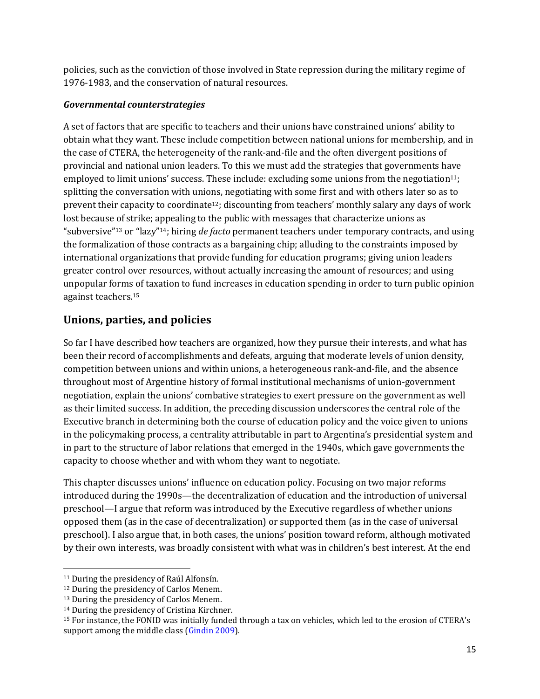policies, such as the conviction of those involved in State repression during the military regime of 1976-1983, and the conservation of natural resources.

### *Governmental counterstrategies*

A set of factors that are specific to teachers and their unions have constrained unions' ability to obtain what they want. These include competition between national unions for membership, and in the case of CTERA, the heterogeneity of the rank-and-file and the often divergent positions of provincial and national union leaders. To this we must add the strategies that governments have employed to limit unions' success. These include: excluding some unions from the negotiation<sup>11</sup>; splitting the conversation with unions, negotiating with some first and with others later so as to prevent their capacity to coordinate12; discounting from teachers' monthly salary any days of work lost because of strike; appealing to the public with messages that characterize unions as "subversive"<sup>13</sup> or "lazy"14; hiring *de facto* permanent teachers under temporary contracts, and using the formalization of those contracts as a bargaining chip; alluding to the constraints imposed by international organizations that provide funding for education programs; giving union leaders greater control over resources, without actually increasing the amount of resources; and using unpopular forms of taxation to fund increases in education spending in order to turn public opinion against teachers. 15

## **Unions, parties, and policies**

So far I have described how teachers are organized, how they pursue their interests, and what has been their record of accomplishments and defeats, arguing that moderate levels of union density, competition between unions and within unions, a heterogeneous rank-and-file, and the absence throughout most of Argentine history of formal institutional mechanisms of union-government negotiation, explain the unions' combative strategies to exert pressure on the government as well as their limited success. In addition, the preceding discussion underscores the central role of the Executive branch in determining both the course of education policy and the voice given to unions in the policymaking process, a centrality attributable in part to Argentina's presidential system and in part to the structure of labor relations that emerged in the 1940s, which gave governments the capacity to choose whether and with whom they want to negotiate.

This chapter discusses unions' influence on education policy. Focusing on two major reforms introduced during the 1990s—the decentralization of education and the introduction of universal preschool—I argue that reform was introduced by the Executive regardless of whether unions opposed them (as in the case of decentralization) or supported them (as in the case of universal preschool). I also argue that, in both cases, the unions' position toward reform, although motivated by their own interests, was broadly consistent with what was in children's best interest. At the end

<sup>11</sup> During the presidency of Raúl Alfonsín.

<sup>12</sup> During the presidency of Carlos Menem.

<sup>13</sup> During the presidency of Carlos Menem.

<sup>14</sup> During the presidency of Cristina Kirchner.

<sup>15</sup> For instance, the FONID was initially funded through a tax on vehicles, which led to the erosion of CTERA's support among the middle class (Gindin 2009).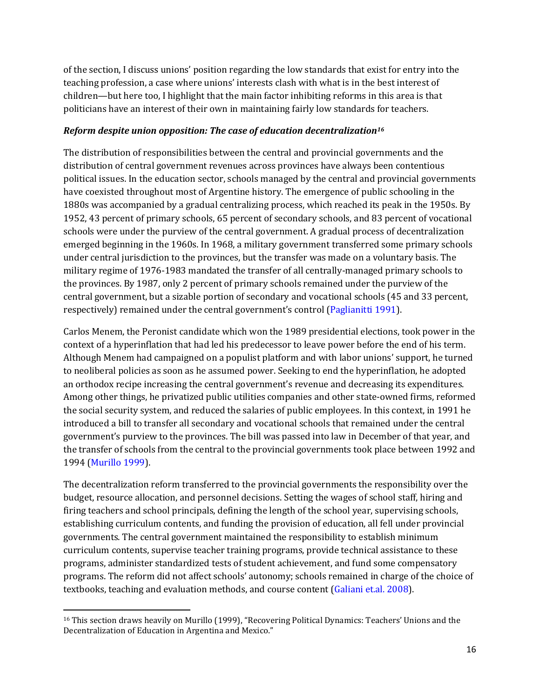of the section, I discuss unions' position regarding the low standards that exist for entry into the teaching profession, a case where unions' interests clash with what is in the best interest of children—but here too, I highlight that the main factor inhibiting reforms in this area is that politicians have an interest of their own in maintaining fairly low standards for teachers.

#### *Reform despite union opposition: The case of education decentralization<sup>16</sup>*

The distribution of responsibilities between the central and provincial governments and the distribution of central government revenues across provinces have always been contentious political issues. In the education sector, schools managed by the central and provincial governments have coexisted throughout most of Argentine history. The emergence of public schooling in the 1880s was accompanied by a gradual centralizing process, which reached its peak in the 1950s. By 1952, 43 percent of primary schools, 65 percent of secondary schools, and 83 percent of vocational schools were under the purview of the central government. A gradual process of decentralization emerged beginning in the 1960s. In 1968, a military government transferred some primary schools under central jurisdiction to the provinces, but the transfer was made on a voluntary basis. The military regime of 1976-1983 mandated the transfer of all centrally-managed primary schools to the provinces. By 1987, only 2 percent of primary schools remained under the purview of the central government, but a sizable portion of secondary and vocational schools (45 and 33 percent, respectively) remained under the central government's control (Paglianitti 1991).

Carlos Menem, the Peronist candidate which won the 1989 presidential elections, took power in the context of a hyperinflation that had led his predecessor to leave power before the end of his term. Although Menem had campaigned on a populist platform and with labor unions' support, he turned to neoliberal policies as soon as he assumed power. Seeking to end the hyperinflation, he adopted an orthodox recipe increasing the central government's revenue and decreasing its expenditures. Among other things, he privatized public utilities companies and other state-owned firms, reformed the social security system, and reduced the salaries of public employees. In this context, in 1991 he introduced a bill to transfer all secondary and vocational schools that remained under the central government's purview to the provinces. The bill was passed into law in December of that year, and the transfer of schools from the central to the provincial governments took place between 1992 and 1994 (Murillo 1999).

The decentralization reform transferred to the provincial governments the responsibility over the budget, resource allocation, and personnel decisions. Setting the wages of school staff, hiring and firing teachers and school principals, defining the length of the school year, supervising schools, establishing curriculum contents, and funding the provision of education, all fell under provincial governments. The central government maintained the responsibility to establish minimum curriculum contents, supervise teacher training programs, provide technical assistance to these programs, administer standardized tests of student achievement, and fund some compensatory programs. The reform did not affect schools' autonomy; schools remained in charge of the choice of textbooks, teaching and evaluation methods, and course content (Galiani et.al. 2008).

<sup>&</sup>lt;sup>16</sup> This section draws heavily on Murillo (1999), "Recovering Political Dynamics: Teachers' Unions and the Decentralization of Education in Argentina and Mexico."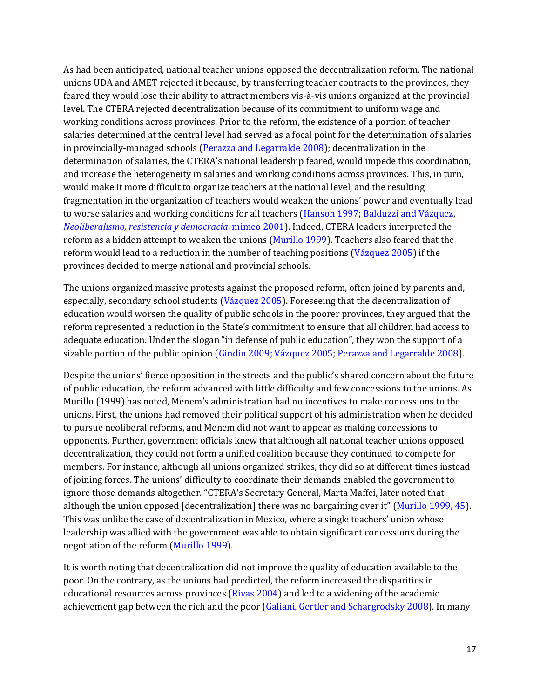As had been anticipated, national teacher unions opposed the decentralization reform. The national unions UDA and AMET rejected it because, by transferring teacher contracts to the provinces, they feared they would lose their ability to attract members vis-à-vis unions organized at the provincial level. The CTERA rejected decentralization because of its commitment to uniform wage and working conditions across provinces. Prior to the reform, the existence of a portion of teacher salaries determined at the central level had served as a focal point for the determination of salaries in provincially-managed schools (Perazza and Legarralde 2008); decentralization in the determination of salaries, the CTERA's national leadership feared, would impede this coordination, and increase the heterogeneity in salaries and working conditions across provinces. This, in turn, would make it more difficult to organize teachers at the national level, and the resulting fragmentation in the organization of teachers would weaken the unions' power and eventually lead to worse salaries and working conditions for all teachers (Hanson 1997; Balduzzi and Vázquez, *Neoliberalismo, resistencia y democracia*, mimeo 2001). Indeed, CTERA leaders interpreted the reform as a hidden attempt to weaken the unions (Murillo 1999). Teachers also feared that the reform would lead to a reduction in the number of teaching positions (Vázquez 2005) if the provinces decided to merge national and provincial schools.

The unions organized massive protests against the proposed reform, often joined by parents and, especially, secondary school students (Vázquez 2005). Foreseeing that the decentralization of education would worsen the quality of public schools in the poorer provinces, they argued that the reform represented a reduction in the State's commitment to ensure that all children had access to adequate education. Under the slogan "in defense of public education", they won the support of a sizable portion of the public opinion (Gindin 2009; Vázquez 2005; Perazza and Legarralde 2008).

Despite the unions' fierce opposition in the streets and the public's shared concern about the future of public education, the reform advanced with little difficulty and few concessions to the unions. As Murillo (1999) has noted, Menem's administration had no incentives to make concessions to the unions. First, the unions had removed their political support of his administration when he decided to pursue neoliberal reforms, and Menem did not want to appear as making concessions to opponents. Further, government officials knew that although all national teacher unions opposed decentralization, they could not form a unified coalition because they continued to compete for members. For instance, although all unions organized strikes, they did so at different times instead of joining forces. The unions' difficulty to coordinate their demands enabled the government to ignore those demands altogether. "CTERA's Secretary General, Marta Maffei, later noted that although the union opposed [decentralization] there was no bargaining over it" (Murillo 1999, 45). This was unlike the case of decentralization in Mexico, where a single teachers' union whose leadership was allied with the government was able to obtain significant concessions during the negotiation of the reform (Murillo 1999).

It is worth noting that decentralization did not improve the quality of education available to the poor. On the contrary, as the unions had predicted, the reform increased the disparities in educational resources across provinces (Rivas 2004) and led to a widening of the academic achievement gap between the rich and the poor (Galiani, Gertler and Schargrodsky 2008). In many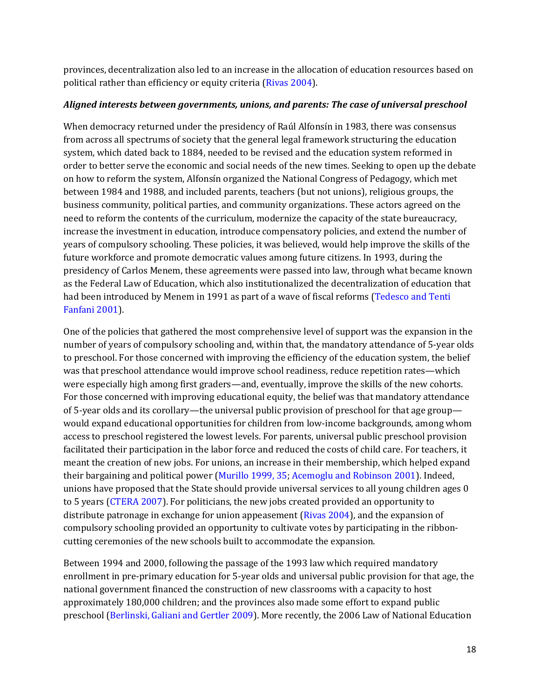provinces, decentralization also led to an increase in the allocation of education resources based on political rather than efficiency or equity criteria (Rivas 2004).

#### *Aligned interests between governments, unions, and parents: The case of universal preschool*

When democracy returned under the presidency of Raúl Alfonsín in 1983, there was consensus from across all spectrums of society that the general legal framework structuring the education system, which dated back to 1884, needed to be revised and the education system reformed in order to better serve the economic and social needs of the new times. Seeking to open up the debate on how to reform the system, Alfonsín organized the National Congress of Pedagogy, which met between 1984 and 1988, and included parents, teachers (but not unions), religious groups, the business community, political parties, and community organizations. These actors agreed on the need to reform the contents of the curriculum, modernize the capacity of the state bureaucracy, increase the investment in education, introduce compensatory policies, and extend the number of years of compulsory schooling. These policies, it was believed, would help improve the skills of the future workforce and promote democratic values among future citizens. In 1993, during the presidency of Carlos Menem, these agreements were passed into law, through what became known as the Federal Law of Education, which also institutionalized the decentralization of education that had been introduced by Menem in 1991 as part of a wave of fiscal reforms (Tedesco and Tenti Fanfani 2001).

One of the policies that gathered the most comprehensive level of support was the expansion in the number of years of compulsory schooling and, within that, the mandatory attendance of 5-year olds to preschool. For those concerned with improving the efficiency of the education system, the belief was that preschool attendance would improve school readiness, reduce repetition rates—which were especially high among first graders—and, eventually, improve the skills of the new cohorts. For those concerned with improving educational equity, the belief was that mandatory attendance of 5-year olds and its corollary—the universal public provision of preschool for that age group would expand educational opportunities for children from low-income backgrounds, among whom access to preschool registered the lowest levels. For parents, universal public preschool provision facilitated their participation in the labor force and reduced the costs of child care. For teachers, it meant the creation of new jobs. For unions, an increase in their membership, which helped expand their bargaining and political power (Murillo 1999, 35; Acemoglu and Robinson 2001). Indeed, unions have proposed that the State should provide universal services to all young children ages 0 to 5 years (CTERA 2007). For politicians, the new jobs created provided an opportunity to distribute patronage in exchange for union appeasement (Rivas 2004), and the expansion of compulsory schooling provided an opportunity to cultivate votes by participating in the ribboncutting ceremonies of the new schools built to accommodate the expansion.

Between 1994 and 2000, following the passage of the 1993 law which required mandatory enrollment in pre-primary education for 5-year olds and universal public provision for that age, the national government financed the construction of new classrooms with a capacity to host approximately 180,000 children; and the provinces also made some effort to expand public preschool (Berlinski, Galiani and Gertler 2009). More recently, the 2006 Law of National Education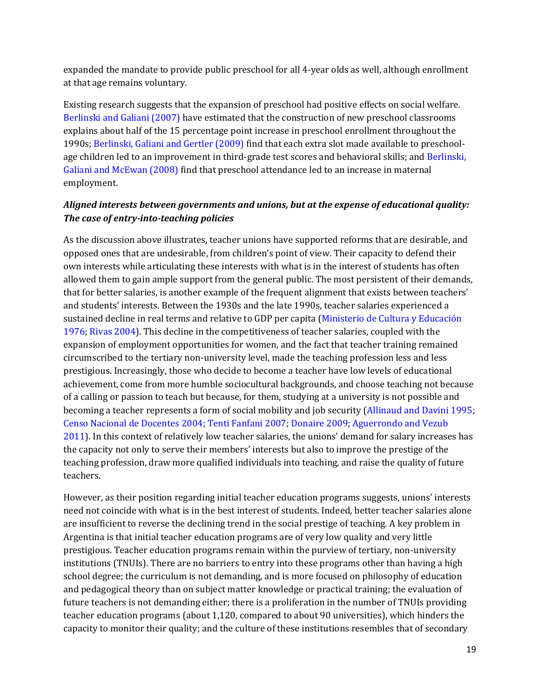expanded the mandate to provide public preschool for all 4-year olds as well, although enrollment at that age remains voluntary.

Existing research suggests that the expansion of preschool had positive effects on social welfare. Berlinski and Galiani (2007) have estimated that the construction of new preschool classrooms explains about half of the 15 percentage point increase in preschool enrollment throughout the 1990s; Berlinski, Galiani and Gertler (2009) find that each extra slot made available to preschoolage children led to an improvement in third-grade test scores and behavioral skills; and Berlinski, Galiani and McEwan (2008) find that preschool attendance led to an increase in maternal employment.

### *Aligned interests between governments and unions, but at the expense of educational quality: The case of entry-into-teaching policies*

As the discussion above illustrates, teacher unions have supported reforms that are desirable, and opposed ones that are undesirable, from children's point of view. Their capacity to defend their own interests while articulating these interests with what is in the interest of students has often allowed them to gain ample support from the general public. The most persistent of their demands, that for better salaries, is another example of the frequent alignment that exists between teachers' and students' interests. Between the 1930s and the late 1990s, teacher salaries experienced a sustained decline in real terms and relative to GDP per capita (Ministerio de Cultura y Educación 1976; Rivas 2004). This decline in the competitiveness of teacher salaries, coupled with the expansion of employment opportunities for women, and the fact that teacher training remained circumscribed to the tertiary non-university level, made the teaching profession less and less prestigious. Increasingly, those who decide to become a teacher have low levels of educational achievement, come from more humble sociocultural backgrounds, and choose teaching not because of a calling or passion to teach but because, for them, studying at a university is not possible and becoming a teacher represents a form of social mobility and job security (Allinaud and Davini 1995; Censo Nacional de Docentes 2004; Tenti Fanfani 2007; Donaire 2009; Aguerrondo and Vezub 2011). In this context of relatively low teacher salaries, the unions' demand for salary increases has the capacity not only to serve their members' interests but also to improve the prestige of the teaching profession, draw more qualified individuals into teaching, and raise the quality of future teachers.

However, as their position regarding initial teacher education programs suggests, unions' interests need not coincide with what is in the best interest of students. Indeed, better teacher salaries alone are insufficient to reverse the declining trend in the social prestige of teaching. A key problem in Argentina is that initial teacher education programs are of very low quality and very little prestigious. Teacher education programs remain within the purview of tertiary, non-university institutions (TNUIs). There are no barriers to entry into these programs other than having a high school degree; the curriculum is not demanding, and is more focused on philosophy of education and pedagogical theory than on subject matter knowledge or practical training; the evaluation of future teachers is not demanding either; there is a proliferation in the number of TNUIs providing teacher education programs (about 1,120, compared to about 90 universities), which hinders the capacity to monitor their quality; and the culture of these institutions resembles that of secondary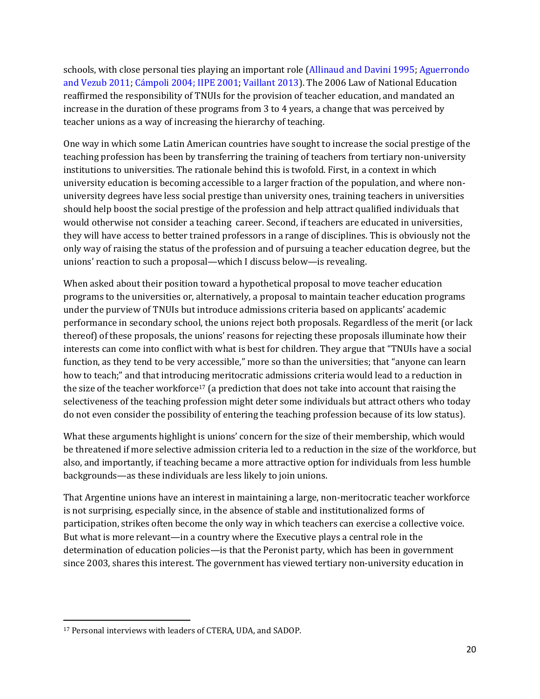schools, with close personal ties playing an important role (Allinaud and Davini 1995; Aguerrondo and Vezub 2011; Cámpoli 2004; IIPE 2001; Vaillant 2013). The 2006 Law of National Education reaffirmed the responsibility of TNUIs for the provision of teacher education, and mandated an increase in the duration of these programs from 3 to 4 years, a change that was perceived by teacher unions as a way of increasing the hierarchy of teaching.

One way in which some Latin American countries have sought to increase the social prestige of the teaching profession has been by transferring the training of teachers from tertiary non-university institutions to universities. The rationale behind this is twofold. First, in a context in which university education is becoming accessible to a larger fraction of the population, and where nonuniversity degrees have less social prestige than university ones, training teachers in universities should help boost the social prestige of the profession and help attract qualified individuals that would otherwise not consider a teaching career. Second, if teachers are educated in universities, they will have access to better trained professors in a range of disciplines. This is obviously not the only way of raising the status of the profession and of pursuing a teacher education degree, but the unions' reaction to such a proposal—which I discuss below—is revealing.

When asked about their position toward a hypothetical proposal to move teacher education programs to the universities or, alternatively, a proposal to maintain teacher education programs under the purview of TNUIs but introduce admissions criteria based on applicants' academic performance in secondary school, the unions reject both proposals. Regardless of the merit (or lack thereof) of these proposals, the unions' reasons for rejecting these proposals illuminate how their interests can come into conflict with what is best for children. They argue that "TNUIs have a social function, as they tend to be very accessible," more so than the universities; that "anyone can learn how to teach;" and that introducing meritocratic admissions criteria would lead to a reduction in the size of the teacher workforce<sup>17</sup> (a prediction that does not take into account that raising the selectiveness of the teaching profession might deter some individuals but attract others who today do not even consider the possibility of entering the teaching profession because of its low status).

What these arguments highlight is unions' concern for the size of their membership, which would be threatened if more selective admission criteria led to a reduction in the size of the workforce, but also, and importantly, if teaching became a more attractive option for individuals from less humble backgrounds—as these individuals are less likely to join unions.

That Argentine unions have an interest in maintaining a large, non-meritocratic teacher workforce is not surprising, especially since, in the absence of stable and institutionalized forms of participation, strikes often become the only way in which teachers can exercise a collective voice. But what is more relevant—in a country where the Executive plays a central role in the determination of education policies—is that the Peronist party, which has been in government since 2003, shares this interest. The government has viewed tertiary non-university education in

<sup>17</sup> Personal interviews with leaders of CTERA, UDA, and SADOP.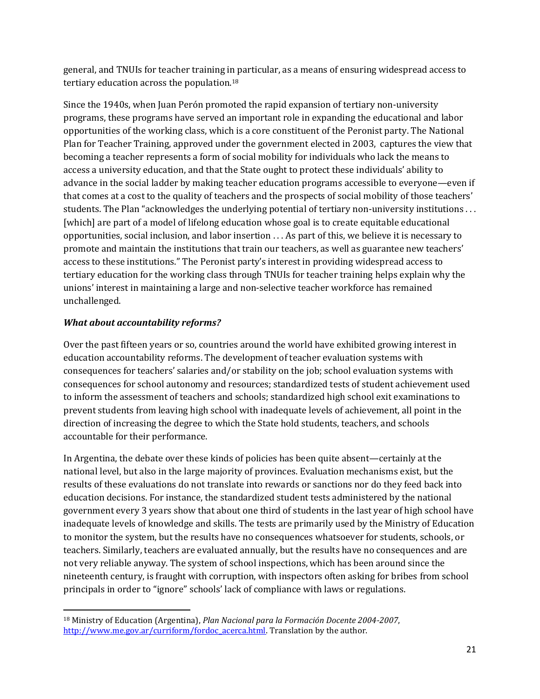general, and TNUIs for teacher training in particular, as a means of ensuring widespread access to tertiary education across the population.<sup>18</sup>

Since the 1940s, when Juan Perón promoted the rapid expansion of tertiary non-university programs, these programs have served an important role in expanding the educational and labor opportunities of the working class, which is a core constituent of the Peronist party. The National Plan for Teacher Training, approved under the government elected in 2003, captures the view that becoming a teacher represents a form of social mobility for individuals who lack the means to access a university education, and that the State ought to protect these individuals' ability to advance in the social ladder by making teacher education programs accessible to everyone—even if that comes at a cost to the quality of teachers and the prospects of social mobility of those teachers' students. The Plan "acknowledges the underlying potential of tertiary non-university institutions . . . [which] are part of a model of lifelong education whose goal is to create equitable educational opportunities, social inclusion, and labor insertion . . . As part of this, we believe it is necessary to promote and maintain the institutions that train our teachers, as well as guarantee new teachers' access to these institutions." The Peronist party's interest in providing widespread access to tertiary education for the working class through TNUIs for teacher training helps explain why the unions' interest in maintaining a large and non-selective teacher workforce has remained unchallenged.

### *What about accountability reforms?*

 $\overline{\phantom{a}}$ 

Over the past fifteen years or so, countries around the world have exhibited growing interest in education accountability reforms. The development of teacher evaluation systems with consequences for teachers' salaries and/or stability on the job; school evaluation systems with consequences for school autonomy and resources; standardized tests of student achievement used to inform the assessment of teachers and schools; standardized high school exit examinations to prevent students from leaving high school with inadequate levels of achievement, all point in the direction of increasing the degree to which the State hold students, teachers, and schools accountable for their performance.

In Argentina, the debate over these kinds of policies has been quite absent—certainly at the national level, but also in the large majority of provinces. Evaluation mechanisms exist, but the results of these evaluations do not translate into rewards or sanctions nor do they feed back into education decisions. For instance, the standardized student tests administered by the national government every 3 years show that about one third of students in the last year of high school have inadequate levels of knowledge and skills. The tests are primarily used by the Ministry of Education to monitor the system, but the results have no consequences whatsoever for students, schools, or teachers. Similarly, teachers are evaluated annually, but the results have no consequences and are not very reliable anyway. The system of school inspections, which has been around since the nineteenth century, is fraught with corruption, with inspectors often asking for bribes from school principals in order to "ignore" schools' lack of compliance with laws or regulations.

<sup>18</sup> Ministry of Education (Argentina), *Plan Nacional para la Formación Docente 2004-2007*, [http://www.me.gov.ar/curriform/fordoc\\_acerca.html.](http://www.me.gov.ar/curriform/fordoc_acerca.html) Translation by the author.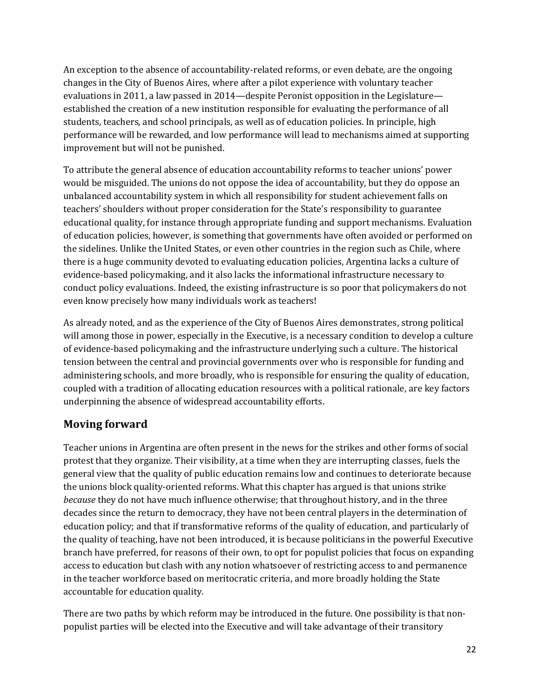An exception to the absence of accountability-related reforms, or even debate, are the ongoing changes in the City of Buenos Aires, where after a pilot experience with voluntary teacher evaluations in 2011, a law passed in 2014—despite Peronist opposition in the Legislature established the creation of a new institution responsible for evaluating the performance of all students, teachers, and school principals, as well as of education policies. In principle, high performance will be rewarded, and low performance will lead to mechanisms aimed at supporting improvement but will not be punished.

To attribute the general absence of education accountability reforms to teacher unions' power would be misguided. The unions do not oppose the idea of accountability, but they do oppose an unbalanced accountability system in which all responsibility for student achievement falls on teachers' shoulders without proper consideration for the State's responsibility to guarantee educational quality, for instance through appropriate funding and support mechanisms. Evaluation of education policies, however, is something that governments have often avoided or performed on the sidelines. Unlike the United States, or even other countries in the region such as Chile, where there is a huge community devoted to evaluating education policies, Argentina lacks a culture of evidence-based policymaking, and it also lacks the informational infrastructure necessary to conduct policy evaluations. Indeed, the existing infrastructure is so poor that policymakers do not even know precisely how many individuals work as teachers!

As already noted, and as the experience of the City of Buenos Aires demonstrates, strong political will among those in power, especially in the Executive, is a necessary condition to develop a culture of evidence-based policymaking and the infrastructure underlying such a culture. The historical tension between the central and provincial governments over who is responsible for funding and administering schools, and more broadly, who is responsible for ensuring the quality of education, coupled with a tradition of allocating education resources with a political rationale, are key factors underpinning the absence of widespread accountability efforts.

## **Moving forward**

Teacher unions in Argentina are often present in the news for the strikes and other forms of social protest that they organize. Their visibility, at a time when they are interrupting classes, fuels the general view that the quality of public education remains low and continues to deteriorate because the unions block quality-oriented reforms. What this chapter has argued is that unions strike *because* they do not have much influence otherwise; that throughout history, and in the three decades since the return to democracy, they have not been central players in the determination of education policy; and that if transformative reforms of the quality of education, and particularly of the quality of teaching, have not been introduced, it is because politicians in the powerful Executive branch have preferred, for reasons of their own, to opt for populist policies that focus on expanding access to education but clash with any notion whatsoever of restricting access to and permanence in the teacher workforce based on meritocratic criteria, and more broadly holding the State accountable for education quality.

There are two paths by which reform may be introduced in the future. One possibility is that nonpopulist parties will be elected into the Executive and will take advantage of their transitory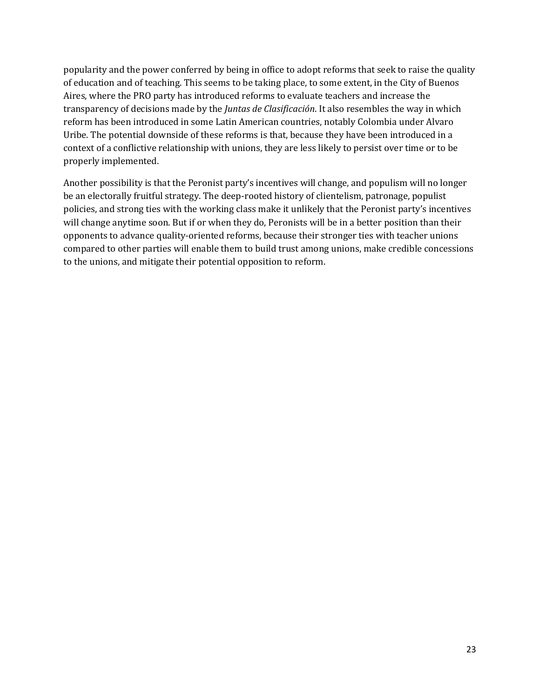popularity and the power conferred by being in office to adopt reforms that seek to raise the quality of education and of teaching. This seems to be taking place, to some extent, in the City of Buenos Aires, where the PRO party has introduced reforms to evaluate teachers and increase the transparency of decisions made by the *Juntas de Clasificación*. It also resembles the way in which reform has been introduced in some Latin American countries, notably Colombia under Alvaro Uribe. The potential downside of these reforms is that, because they have been introduced in a context of a conflictive relationship with unions, they are less likely to persist over time or to be properly implemented.

Another possibility is that the Peronist party's incentives will change, and populism will no longer be an electorally fruitful strategy. The deep-rooted history of clientelism, patronage, populist policies, and strong ties with the working class make it unlikely that the Peronist party's incentives will change anytime soon. But if or when they do, Peronists will be in a better position than their opponents to advance quality-oriented reforms, because their stronger ties with teacher unions compared to other parties will enable them to build trust among unions, make credible concessions to the unions, and mitigate their potential opposition to reform.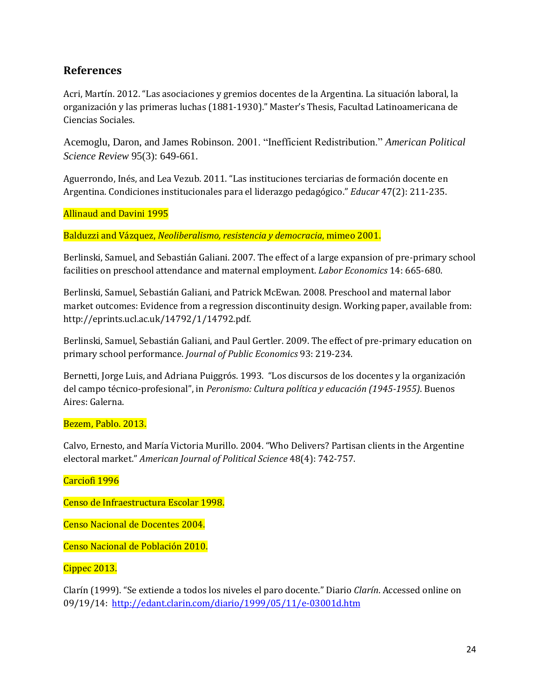## **References**

Acri, Martín. 2012. "Las asociaciones y gremios docentes de la Argentina. La situación laboral, la organización y las primeras luchas (1881-1930)." Master's Thesis, Facultad Latinoamericana de Ciencias Sociales.

Acemoglu, Daron, and James Robinson. 2001. "Inefficient Redistribution." *American Political Science Review* 95(3): 649-661.

Aguerrondo, Inés, and Lea Vezub. 2011. "Las instituciones terciarias de formación docente en Argentina. Condiciones institucionales para el liderazgo pedagógico." *Educar* 47(2): 211-235.

Allinaud and Davini 1995

Balduzzi and Vázquez, *Neoliberalismo, resistencia y democracia*, mimeo 2001.

Berlinski, Samuel, and Sebastián Galiani. 2007. The effect of a large expansion of pre-primary school facilities on preschool attendance and maternal employment. *Labor Economics* 14: 665-680.

Berlinski, Samuel, Sebastián Galiani, and Patrick McEwan. 2008. Preschool and maternal labor market outcomes: Evidence from a regression discontinuity design. Working paper, available from: [http://eprints.ucl.ac.uk/14792/1/14792.pdf.](http://eprints.ucl.ac.uk/14792/1/14792.pdf)

Berlinski, Samuel, Sebastián Galiani, and Paul Gertler. 2009. The effect of pre-primary education on primary school performance. *Journal of Public Economics* 93: 219-234.

Bernetti, Jorge Luis, and Adriana Puiggrós. 1993. "Los discursos de los docentes y la organización del campo técnico-profesional", in *Peronismo: Cultura política y educación (1945-1955)*. Buenos Aires: Galerna.

#### Bezem, Pablo. 2013.

Calvo, Ernesto, and María Victoria Murillo. 2004. "Who Delivers? Partisan clients in the Argentine electoral market." *American Journal of Political Science* 48(4): 742-757.

#### Carciofi 1996

Censo de Infraestructura Escolar 1998.

Censo Nacional de Docentes 2004.

Censo Nacional de Población 2010.

#### Cippec 2013.

Clarín (1999). "Se extiende a todos los niveles el paro docente." Diario *Clarín*. Accessed online on 09/19/14: <http://edant.clarin.com/diario/1999/05/11/e-03001d.htm>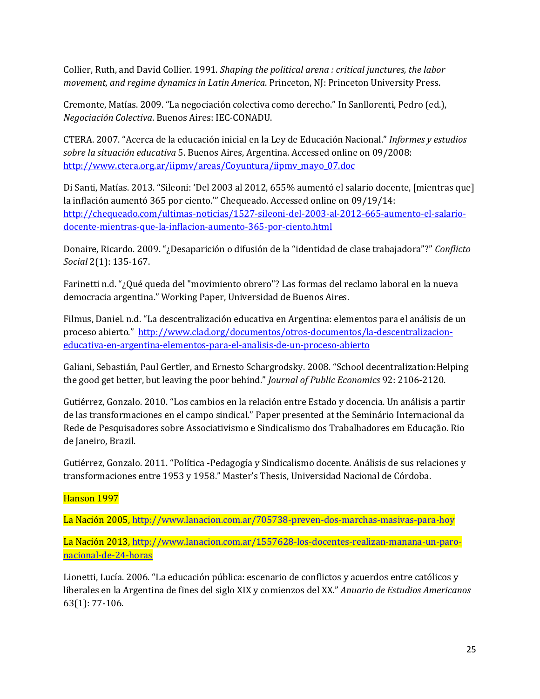Collier, Ruth, and David Collier. 1991. *Shaping the political arena : critical junctures, the labor movement, and regime dynamics in Latin America*. Princeton, NJ: Princeton University Press.

Cremonte, Matías. 2009. "La negociación colectiva como derecho." In Sanllorenti, Pedro (ed.), *Negociación Colectiva*. Buenos Aires: IEC-CONADU.

CTERA. 2007. "Acerca de la educación inicial en la Ley de Educación Nacional." *Informes y estudios sobre la situación educativa* 5. Buenos Aires, Argentina. Accessed online on 09/2008: [http://www.ctera.org.ar/iipmv/areas/Coyuntura/iipmv\\_mayo\\_07.doc](http://www.ctera.org.ar/iipmv/areas/Coyuntura/iipmv_mayo_07.doc)

Di Santi, Matías. 2013. "Sileoni: 'Del 2003 al 2012, 655% aumentó el salario docente, [mientras que] la inflación aumentó 365 por ciento.'" Chequeado. Accessed online on 09/19/14: [http://chequeado.com/ultimas-noticias/1527-sileoni-del-2003-al-2012-665-aumento-el-salario](http://chequeado.com/ultimas-noticias/1527-sileoni-del-2003-al-2012-665-aumento-el-salario-docente-mientras-que-la-inflacion-aumento-365-por-ciento.html)[docente-mientras-que-la-inflacion-aumento-365-por-ciento.html](http://chequeado.com/ultimas-noticias/1527-sileoni-del-2003-al-2012-665-aumento-el-salario-docente-mientras-que-la-inflacion-aumento-365-por-ciento.html)

Donaire, Ricardo. 2009. "¿Desaparición o difusión de la "identidad de clase trabajadora"?" *Conflicto Social* 2(1): 135-167.

Farinetti n.d. "¿Qué queda del "movimiento obrero"? Las formas del reclamo laboral en la nueva democracia argentina." Working Paper, Universidad de Buenos Aires.

Filmus, Daniel. n.d. "La descentralización educativa en Argentina: elementos para el análisis de un proceso abierto." [http://www.clad.org/documentos/otros-documentos/la-descentralizacion](http://www.clad.org/documentos/otros-documentos/la-descentralizacion-educativa-en-argentina-elementos-para-el-analisis-de-un-proceso-abierto)[educativa-en-argentina-elementos-para-el-analisis-de-un-proceso-abierto](http://www.clad.org/documentos/otros-documentos/la-descentralizacion-educativa-en-argentina-elementos-para-el-analisis-de-un-proceso-abierto)

Galiani, Sebastián, Paul Gertler, and Ernesto Schargrodsky. 2008. "School decentralization:Helping the good get better, but leaving the poor behind." *Journal of Public Economics* 92: 2106-2120.

Gutiérrez, Gonzalo. 2010. "Los cambios en la relación entre Estado y docencia. Un análisis a partir de las transformaciones en el campo sindical." Paper presented at the Seminário Internacional da Rede de Pesquisadores sobre Associativismo e Sindicalismo dos Trabalhadores em Educação. Rio de Janeiro, Brazil.

Gutiérrez, Gonzalo. 2011. "Política -Pedagogía y Sindicalismo docente. Análisis de sus relaciones y transformaciones entre 1953 y 1958." Master's Thesis, Universidad Nacional de Córdoba.

Hanson 1997

La Nación 2005,<http://www.lanacion.com.ar/705738-preven-dos-marchas-masivas-para-hoy>

La Nación 2013, [http://www.lanacion.com.ar/1557628-los-docentes-realizan-manana-un-paro](http://www.lanacion.com.ar/1557628-los-docentes-realizan-manana-un-paro-nacional-de-24-horas)[nacional-de-24-horas](http://www.lanacion.com.ar/1557628-los-docentes-realizan-manana-un-paro-nacional-de-24-horas)

Lionetti, Lucía. 2006. "La educación pública: escenario de conflictos y acuerdos entre católicos y liberales en la Argentina de fines del siglo XIX y comienzos del XX." *Anuario de Estudios Americanos* 63(1): 77-106.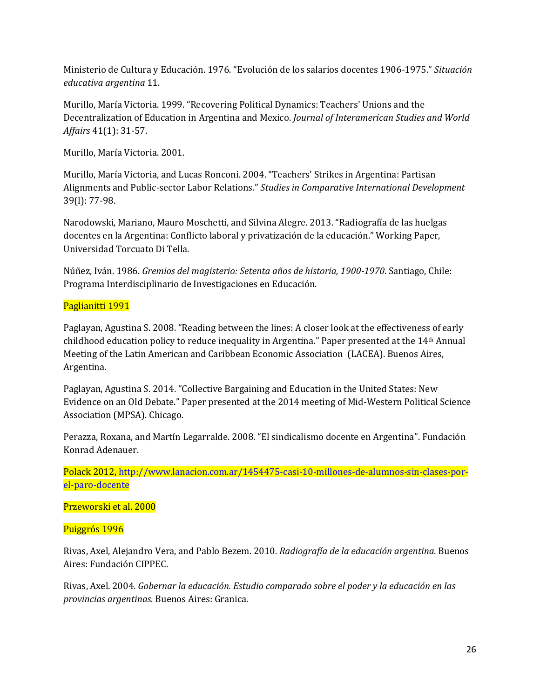Ministerio de Cultura y Educación. 1976. "Evolución de los salarios docentes 1906-1975." *Situación educativa argentina* 11.

Murillo, María Victoria. 1999. "Recovering Political Dynamics: Teachers' Unions and the Decentralization of Education in Argentina and Mexico. *Journal of Interamerican Studies and World Affairs* 41(1): 31-57.

Murillo, María Victoria. 2001.

Murillo, María Victoria, and Lucas Ronconi. 2004. "Teachers' Strikes in Argentina: Partisan Alignments and Public-sector Labor Relations." *Studies in Comparative International Development* 39(l): 77-98.

Narodowski, Mariano, Mauro Moschetti, and Silvina Alegre. 2013. "Radiografía de las huelgas docentes en la Argentina: Conflicto laboral y privatización de la educación." Working Paper, Universidad Torcuato Di Tella.

Núñez, Iván. 1986. *Gremios del magisterio: Setenta años de historia, 1900-1970*. Santiago, Chile: Programa Interdisciplinario de Investigaciones en Educación.

### Paglianitti 1991

Paglayan, Agustina S. 2008. "Reading between the lines: A closer look at the effectiveness of early childhood education policy to reduce inequality in Argentina." Paper presented at the 14th Annual Meeting of the Latin American and Caribbean Economic Association (LACEA). Buenos Aires, Argentina.

Paglayan, Agustina S. 2014. "Collective Bargaining and Education in the United States: New Evidence on an Old Debate." Paper presented at the 2014 meeting of Mid-Western Political Science Association (MPSA). Chicago.

Perazza, Roxana, and Martín Legarralde. 2008. "El sindicalismo docente en Argentina". Fundación Konrad Adenauer.

Polack 2012[, http://www.lanacion.com.ar/1454475-casi-10-millones-de-alumnos-sin-clases-por](http://www.lanacion.com.ar/1454475-casi-10-millones-de-alumnos-sin-clases-por-el-paro-docente)[el-paro-docente](http://www.lanacion.com.ar/1454475-casi-10-millones-de-alumnos-sin-clases-por-el-paro-docente)

Przeworski et al. 2000

Puiggrós 1996

Rivas, Axel, Alejandro Vera, and Pablo Bezem. 2010. *Radiografía de la educación argentina*. Buenos Aires: Fundación CIPPEC.

Rivas, Axel. 2004. *Gobernar la educación. Estudio comparado sobre el poder y la educación en las provincias argentinas*. Buenos Aires: Granica.